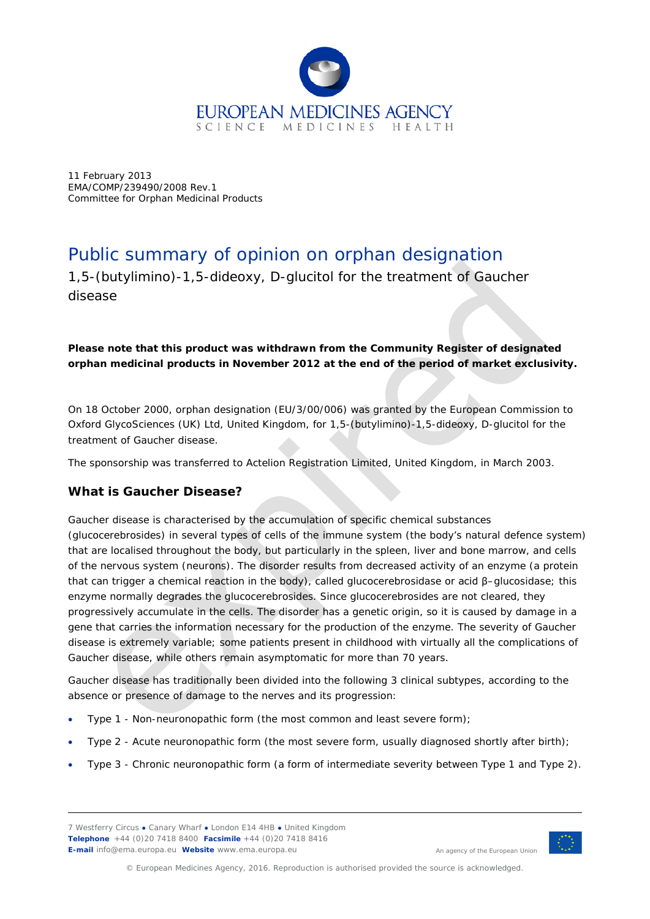

11 February 2013 EMA/COMP/239490/2008 Rev.1 Committee for Orphan Medicinal Products

# Public summary of opinion on orphan designation

1,5-(butylimino)-1,5-dideoxy, D-glucitol for the treatment of Gaucher disease

#### *Please note that this product was withdrawn from the Community Register of designated orphan medicinal products in November 2012 at the end of the period of market exclusivity.*

On 18 October 2000, orphan designation (EU/3/00/006) was granted by the European Commission to Oxford GlycoSciences (UK) Ltd, United Kingdom, for 1,5-(butylimino)-1,5-dideoxy, D-glucitol for the treatment of Gaucher disease.

The sponsorship was transferred to Actelion Registration Limited, United Kingdom, in March 2003.

## **What is Gaucher Disease?**

Gaucher disease is characterised by the accumulation of specific chemical substances (glucocerebrosides) in several types of cells of the immune system (the body's natural defence system) that are localised throughout the body, but particularly in the spleen, liver and bone marrow, and cells of the nervous system (neurons). The disorder results from decreased activity of an enzyme (a protein that can trigger a chemical reaction in the body), called glucocerebrosidase or acid β–glucosidase; this enzyme normally degrades the glucocerebrosides. Since glucocerebrosides are not cleared, they progressively accumulate in the cells. The disorder has a genetic origin, so it is caused by damage in a gene that carries the information necessary for the production of the enzyme. The severity of Gaucher disease is extremely variable; some patients present in childhood with virtually all the complications of Gaucher disease, while others remain asymptomatic for more than 70 years.

Gaucher disease has traditionally been divided into the following 3 clinical subtypes, according to the absence or presence of damage to the nerves and its progression:

- Type 1 Non-neuronopathic form (the most common and least severe form);
- Type 2 Acute neuronopathic form (the most severe form, usually diagnosed shortly after birth);
- Type 3 Chronic neuronopathic form (a form of intermediate severity between Type 1 and Type 2).

7 Westferry Circus **●** Canary Wharf **●** London E14 4HB **●** United Kingdom **Telephone** +44 (0)20 7418 8400 **Facsimile** +44 (0)20 7418 8416 **E-mail** info@ema.europa.eu **Website** www.ema.europa.eu



An agency of the European Union

© European Medicines Agency, 2016. Reproduction is authorised provided the source is acknowledged.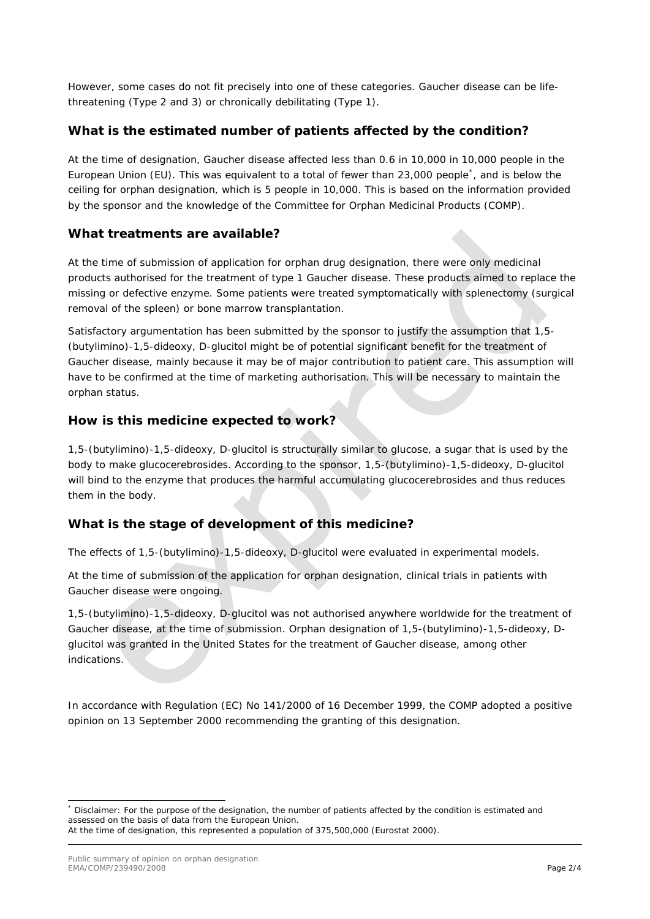However, some cases do not fit precisely into one of these categories. Gaucher disease can be lifethreatening (Type 2 and 3) or chronically debilitating (Type 1).

## **What is the estimated number of patients affected by the condition?**

At the time of designation, Gaucher disease affected less than 0.6 in 10,000 in 10,000 people in the European Union (EU). This was equivalent to a total of fewer than 23,000 people[\\*](#page-1-0) , and is below the ceiling for orphan designation, which is 5 people in 10,000. This is based on the information provided by the sponsor and the knowledge of the Committee for Orphan Medicinal Products (COMP)*.*

#### **What treatments are available?**

At the time of submission of application for orphan drug designation, there were only medicinal products authorised for the treatment of type 1 Gaucher disease. These products aimed to replace the missing or defective enzyme. Some patients were treated symptomatically with splenectomy (surgical removal of the spleen) or bone marrow transplantation.

Satisfactory argumentation has been submitted by the sponsor to justify the assumption that 1,5- (butylimino)-1,5-dideoxy, D-glucitol might be of potential significant benefit for the treatment of Gaucher disease, mainly because it may be of major contribution to patient care. This assumption will have to be confirmed at the time of marketing authorisation. This will be necessary to maintain the orphan status.

### **How is this medicine expected to work?**

1,5-(butylimino)-1,5-dideoxy, D-glucitol is structurally similar to glucose, a sugar that is used by the body to make glucocerebrosides. According to the sponsor, 1,5-(butylimino)-1,5-dideoxy, D-glucitol will bind to the enzyme that produces the harmful accumulating glucocerebrosides and thus reduces them in the body.

## **What is the stage of development of this medicine?**

The effects of 1,5-(butylimino)-1,5-dideoxy, D-glucitol were evaluated in experimental models.

At the time of submission of the application for orphan designation, clinical trials in patients with Gaucher disease were ongoing.

1,5-(butylimino)-1,5-dideoxy, D-glucitol was not authorised anywhere worldwide for the treatment of Gaucher disease, at the time of submission. Orphan designation of 1,5-(butylimino)-1,5-dideoxy, Dglucitol was granted in the United States for the treatment of Gaucher disease, among other indications.

In accordance with Regulation (EC) No 141/2000 of 16 December 1999, the COMP adopted a positive opinion on 13 September 2000 recommending the granting of this designation.

<span id="page-1-0"></span>Disclaimer: For the purpose of the designation, the number of patients affected by the condition is estimated and assessed on the basis of data from the European Union. At the time of designation, this represented a population of 375,500,000 (Eurostat 2000).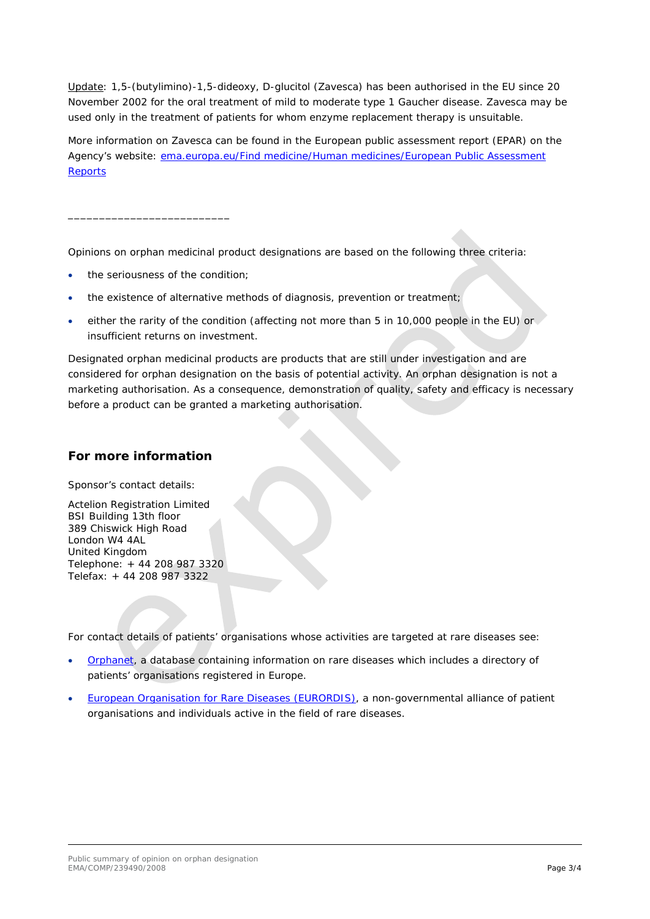Update: 1,5-(butylimino)-1,5-dideoxy, D-glucitol (Zavesca) has been authorised in the EU since 20 November 2002 for the oral treatment of mild to moderate type 1 Gaucher disease. Zavesca may be used only in the treatment of patients for whom enzyme replacement therapy is unsuitable.

More information on Zavesca can be found in the European public assessment report (EPAR) on the Agency's website: [ema.europa.eu/Find medicine/Human medicines/European Public Assessment](http://www.ema.europa.eu/ema/index.jsp?curl=pages/medicines/human/medicines/000435/human_med_001171.jsp&mid=WC0b01ac058001d124)  **[Reports](http://www.ema.europa.eu/ema/index.jsp?curl=pages/medicines/human/medicines/000435/human_med_001171.jsp&mid=WC0b01ac058001d124)** 

Opinions on orphan medicinal product designations are based on the following three criteria:

the seriousness of the condition:

\_\_\_\_\_\_\_\_\_\_\_\_\_\_\_\_\_\_\_\_\_\_\_\_\_\_

- the existence of alternative methods of diagnosis, prevention or treatment;
- either the rarity of the condition (affecting not more than 5 in 10,000 people in the EU) or insufficient returns on investment.

Designated orphan medicinal products are products that are still under investigation and are considered for orphan designation on the basis of potential activity. An orphan designation is not a marketing authorisation. As a consequence, demonstration of quality, safety and efficacy is necessary before a product can be granted a marketing authorisation.

#### **For more information**

Sponsor's contact details:

Actelion Registration Limited BSI Building 13th floor 389 Chiswick High Road London W4 4AL United Kingdom Telephone: + 44 208 987 3320 Telefax: + 44 208 987 3322

For contact details of patients' organisations whose activities are targeted at rare diseases see:

- [Orphanet,](http://www.orpha.net/consor/cgi-bin/index.php) a database containing information on rare diseases which includes a directory of patients' organisations registered in Europe.
- [European Organisation for Rare Diseases \(EURORDIS\),](http://www.eurordis.org/content/rare-disease-patient-organisations) a non-governmental alliance of patient organisations and individuals active in the field of rare diseases.